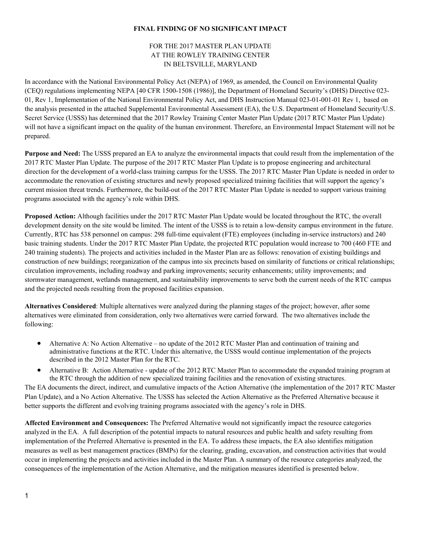## **FINAL FINDING OF NO SIGNIFICANT IMPACT**

## FOR THE 2017 MASTER PLAN UPDATE AT THE ROWLEY TRAINING CENTER IN BELTSVILLE, MARYLAND

In accordance with the National Environmental Policy Act (NEPA) of 1969, as amended, the Council on Environmental Quality (CEQ) regulations implementing NEPA [40 CFR 1500-1508 (1986)], the Department of Homeland Security's (DHS) Directive 023- 01, Rev 1, Implementation of the National Environmental Policy Act, and DHS Instruction Manual 023-01-001-01 Rev 1, based on the analysis presented in the attached Supplemental Environmental Assessment (EA), the U.S. Department of Homeland Security/U.S. Secret Service (USSS) has determined that the 2017 Rowley Training Center Master Plan Update (2017 RTC Master Plan Update) will not have a significant impact on the quality of the human environment. Therefore, an Environmental Impact Statement will not be prepared.

**Purpose and Need:** The USSS prepared an EA to analyze the environmental impacts that could result from the implementation of the 2017 RTC Master Plan Update. The purpose of the 2017 RTC Master Plan Update is to propose engineering and architectural direction for the development of a world-class training campus for the USSS. The 2017 RTC Master Plan Update is needed in order to accommodate the renovation of existing structures and newly proposed specialized training facilities that will support the agency's current mission threat trends. Furthermore, the build-out of the 2017 RTC Master Plan Update is needed to support various training programs associated with the agency's role within DHS.

**Proposed Action:** Although facilities under the 2017 RTC Master Plan Update would be located throughout the RTC, the overall development density on the site would be limited. The intent of the USSS is to retain a low-density campus environment in the future. Currently, RTC has 538 personnel on campus: 298 full-time equivalent (FTE) employees (including in-service instructors) and 240 basic training students. Under the 2017 RTC Master Plan Update, the projected RTC population would increase to 700 (460 FTE and 240 training students). The projects and activities included in the Master Plan are as follows: renovation of existing buildings and construction of new buildings; reorganization of the campus into six precincts based on similarity of functions or critical relationships; circulation improvements, including roadway and parking improvements; security enhancements; utility improvements; and stormwater management, wetlands management, and sustainability improvements to serve both the current needs of the RTC campus and the projected needs resulting from the proposed facilities expansion.

**Alternatives Considered**: Multiple alternatives were analyzed during the planning stages of the project; however, after some alternatives were eliminated from consideration, only two alternatives were carried forward. The two alternatives include the following:

- Alternative A: No Action Alternative no update of the 2012 RTC Master Plan and continuation of training and administrative functions at the RTC. Under this alternative, the USSS would continue implementation of the projects described in the 2012 Master Plan for the RTC.
- Alternative B: Action Alternative update of the 2012 RTC Master Plan to accommodate the expanded training program at the RTC through the addition of new specialized training facilities and the renovation of existing structures.

The EA documents the direct, indirect, and cumulative impacts of the Action Alternative (the implementation of the 2017 RTC Master Plan Update), and a No Action Alternative. The USSS has selected the Action Alternative as the Preferred Alternative because it better supports the different and evolving training programs associated with the agency's role in DHS.

<span id="page-0-0"></span>**Affected Environment and Consequences:** The Preferred Alternative would not significantly impact the resource categories analyzed in the EA. A full description of the potential impacts to natural resources and public health and safety resulting from implementation of the Preferred Alternative is presented in the EA. To address these impacts, the EA also identifies mitigation measures as well as best management practices (BMPs) for the clearing, grading, excavation, and construction activities that would occur in implementing the projects and activities included in the Master Plan. A summary of the resource categories analyzed, the consequences of the implementation of the Action Alternative, and the mitigation measures identified is presented below.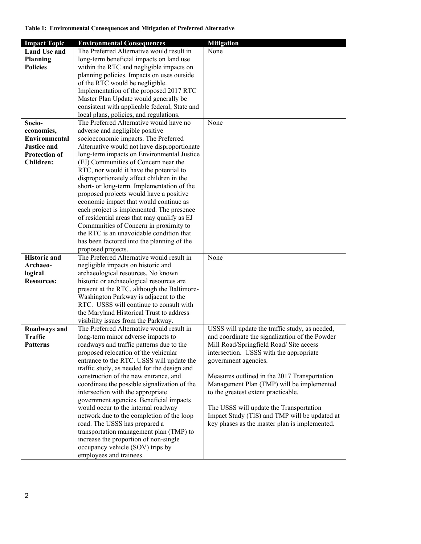## **Table 1: Environmental Consequences and Mitigation of Preferred Alternative**

| <b>Impact Topic</b>  | <b>Environmental Consequences</b>                                                     | <b>Mitigation</b>                                                                              |
|----------------------|---------------------------------------------------------------------------------------|------------------------------------------------------------------------------------------------|
| <b>Land Use and</b>  | The Preferred Alternative would result in                                             | None                                                                                           |
| <b>Planning</b>      | long-term beneficial impacts on land use                                              |                                                                                                |
| <b>Policies</b>      | within the RTC and negligible impacts on                                              |                                                                                                |
|                      | planning policies. Impacts on uses outside                                            |                                                                                                |
|                      | of the RTC would be negligible.                                                       |                                                                                                |
|                      | Implementation of the proposed 2017 RTC                                               |                                                                                                |
|                      | Master Plan Update would generally be                                                 |                                                                                                |
|                      | consistent with applicable federal, State and                                         |                                                                                                |
|                      | local plans, policies, and regulations.                                               |                                                                                                |
| Socio-               | The Preferred Alternative would have no                                               | None                                                                                           |
| economics,           | adverse and negligible positive                                                       |                                                                                                |
| Environmental        | socioeconomic impacts. The Preferred                                                  |                                                                                                |
| <b>Justice and</b>   | Alternative would not have disproportionate                                           |                                                                                                |
| <b>Protection of</b> | long-term impacts on Environmental Justice                                            |                                                                                                |
| <b>Children:</b>     | (EJ) Communities of Concern near the                                                  |                                                                                                |
|                      | RTC, nor would it have the potential to                                               |                                                                                                |
|                      | disproportionately affect children in the                                             |                                                                                                |
|                      | short- or long-term. Implementation of the                                            |                                                                                                |
|                      | proposed projects would have a positive                                               |                                                                                                |
|                      | economic impact that would continue as                                                |                                                                                                |
|                      | each project is implemented. The presence                                             |                                                                                                |
|                      | of residential areas that may qualify as EJ<br>Communities of Concern in proximity to |                                                                                                |
|                      | the RTC is an unavoidable condition that                                              |                                                                                                |
|                      | has been factored into the planning of the                                            |                                                                                                |
|                      | proposed projects.                                                                    |                                                                                                |
| <b>Historic</b> and  | The Preferred Alternative would result in                                             | None                                                                                           |
| Archaeo-             | negligible impacts on historic and                                                    |                                                                                                |
| logical              | archaeological resources. No known                                                    |                                                                                                |
| <b>Resources:</b>    | historic or archaeological resources are                                              |                                                                                                |
|                      | present at the RTC, although the Baltimore-                                           |                                                                                                |
|                      | Washington Parkway is adjacent to the                                                 |                                                                                                |
|                      | RTC. USSS will continue to consult with                                               |                                                                                                |
|                      | the Maryland Historical Trust to address                                              |                                                                                                |
|                      | visibility issues from the Parkway.                                                   |                                                                                                |
| Roadways and         | The Preferred Alternative would result in                                             | USSS will update the traffic study, as needed,                                                 |
| <b>Traffic</b>       | long-term minor adverse impacts to                                                    | and coordinate the signalization of the Powder                                                 |
| Patterns             | roadways and traffic patterns due to the                                              | Mill Road/Springfield Road/ Site access                                                        |
|                      | proposed relocation of the vehicular                                                  | intersection. USSS with the appropriate                                                        |
|                      | entrance to the RTC. USSS will update the                                             | government agencies.                                                                           |
|                      | traffic study, as needed for the design and                                           |                                                                                                |
|                      | construction of the new entrance, and                                                 | Measures outlined in the 2017 Transportation                                                   |
|                      | coordinate the possible signalization of the                                          | Management Plan (TMP) will be implemented                                                      |
|                      | intersection with the appropriate                                                     | to the greatest extent practicable.                                                            |
|                      | government agencies. Beneficial impacts                                               |                                                                                                |
|                      | would occur to the internal roadway                                                   | The USSS will update the Transportation                                                        |
|                      | network due to the completion of the loop                                             | Impact Study (TIS) and TMP will be updated at<br>key phases as the master plan is implemented. |
|                      | road. The USSS has prepared a<br>transportation management plan (TMP) to              |                                                                                                |
|                      | increase the proportion of non-single                                                 |                                                                                                |
|                      | occupancy vehicle (SOV) trips by                                                      |                                                                                                |
|                      | employees and trainees.                                                               |                                                                                                |
|                      |                                                                                       |                                                                                                |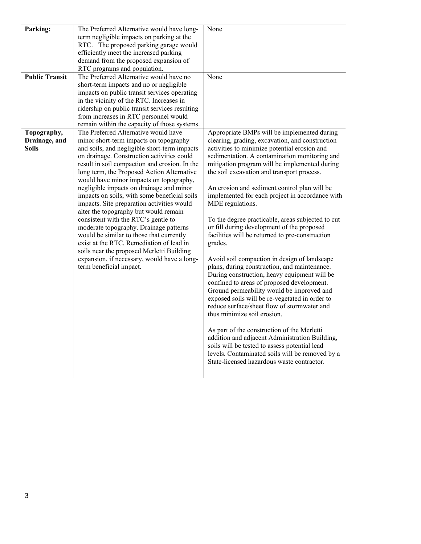| Parking:              | The Preferred Alternative would have long-                                         | None                                                                                            |
|-----------------------|------------------------------------------------------------------------------------|-------------------------------------------------------------------------------------------------|
|                       | term negligible impacts on parking at the                                          |                                                                                                 |
|                       | RTC. The proposed parking garage would                                             |                                                                                                 |
|                       | efficiently meet the increased parking                                             |                                                                                                 |
|                       | demand from the proposed expansion of                                              |                                                                                                 |
|                       | RTC programs and population.                                                       |                                                                                                 |
| <b>Public Transit</b> | The Preferred Alternative would have no                                            | None                                                                                            |
|                       | short-term impacts and no or negligible                                            |                                                                                                 |
|                       | impacts on public transit services operating                                       |                                                                                                 |
|                       | in the vicinity of the RTC. Increases in                                           |                                                                                                 |
|                       | ridership on public transit services resulting                                     |                                                                                                 |
|                       | from increases in RTC personnel would                                              |                                                                                                 |
|                       | remain within the capacity of those systems.                                       |                                                                                                 |
| Topography,           | The Preferred Alternative would have                                               | Appropriate BMPs will be implemented during                                                     |
| Drainage, and         | minor short-term impacts on topography                                             | clearing, grading, excavation, and construction                                                 |
| Soils                 | and soils, and negligible short-term impacts                                       | activities to minimize potential erosion and                                                    |
|                       | on drainage. Construction activities could                                         | sedimentation. A contamination monitoring and                                                   |
|                       | result in soil compaction and erosion. In the                                      | mitigation program will be implemented during                                                   |
|                       | long term, the Proposed Action Alternative                                         | the soil excavation and transport process.                                                      |
|                       | would have minor impacts on topography,                                            |                                                                                                 |
|                       | negligible impacts on drainage and minor                                           | An erosion and sediment control plan will be                                                    |
|                       | impacts on soils, with some beneficial soils                                       | implemented for each project in accordance with                                                 |
|                       | impacts. Site preparation activities would                                         | MDE regulations.                                                                                |
|                       | alter the topography but would remain                                              |                                                                                                 |
|                       | consistent with the RTC's gentle to                                                | To the degree practicable, areas subjected to cut<br>or fill during development of the proposed |
|                       | moderate topography. Drainage patterns<br>would be similar to those that currently | facilities will be returned to pre-construction                                                 |
|                       | exist at the RTC. Remediation of lead in                                           |                                                                                                 |
|                       | soils near the proposed Merletti Building                                          | grades.                                                                                         |
|                       | expansion, if necessary, would have a long-                                        | Avoid soil compaction in design of landscape                                                    |
|                       | term beneficial impact.                                                            | plans, during construction, and maintenance.                                                    |
|                       |                                                                                    | During construction, heavy equipment will be                                                    |
|                       |                                                                                    | confined to areas of proposed development.                                                      |
|                       |                                                                                    | Ground permeability would be improved and                                                       |
|                       |                                                                                    | exposed soils will be re-vegetated in order to                                                  |
|                       |                                                                                    | reduce surface/sheet flow of stormwater and                                                     |
|                       |                                                                                    | thus minimize soil erosion.                                                                     |
|                       |                                                                                    |                                                                                                 |
|                       |                                                                                    | As part of the construction of the Merletti                                                     |
|                       |                                                                                    | addition and adjacent Administration Building,                                                  |
|                       |                                                                                    | soils will be tested to assess potential lead                                                   |
|                       |                                                                                    | levels. Contaminated soils will be removed by a                                                 |
|                       |                                                                                    | State-licensed hazardous waste contractor.                                                      |
|                       |                                                                                    |                                                                                                 |
|                       |                                                                                    |                                                                                                 |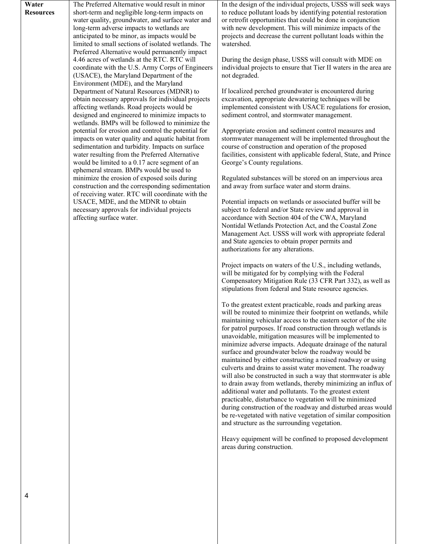| Water            | The Preferred Alternative would result in minor     | In  |
|------------------|-----------------------------------------------------|-----|
| <b>Resources</b> | short-term and negligible long-term impacts on      |     |
|                  | water quality, groundwater, and surface water and   | or  |
|                  | long-term adverse impacts to wetlands are           | wi  |
|                  | anticipated to be minor, as impacts would be        | pro |
|                  | limited to small sections of isolated wetlands. The | wa  |
|                  | Preferred Alternative would permanently impact      |     |
|                  | 4.46 acres of wetlands at the RTC. RTC will         | Dι  |
|                  | coordinate with the U.S. Army Corps of Engineers    | ino |
|                  | (USACE), the Maryland Department of the             | no  |
|                  | Environment (MDE), and the Maryland                 |     |
|                  | Department of Natural Resources (MDNR) to           | If  |
|                  | obtain necessary approvals for individual projects  | ex  |
|                  | affecting wetlands. Road projects would be          | im  |
|                  | designed and engineered to minimize impacts to      | seo |
|                  | wetlands. BMPs will be followed to minimize the     |     |
|                  | potential for erosion and control the potential for | Ap  |
|                  | impacts on water quality and aquatic habitat from   | stc |
|                  | sedimentation and turbidity. Impacts on surface     | co  |
|                  | water resulting from the Preferred Alternative      | fac |
|                  | would be limited to a 0.17 acre segment of an       | Ge  |
|                  | ephemeral stream. BMPs would be used to             |     |
|                  | minimize the erosion of exposed soils during        | Re  |
|                  | construction and the corresponding sedimentation    | an  |
|                  | of receiving water. RTC will coordinate with the    |     |
|                  | USACE, MDE, and the MDNR to obtain                  | Po  |
|                  | necessary approvals for individual projects         | sul |
|                  | affecting surface water.                            | ac  |
|                  |                                                     | No  |

the design of the individual projects, USSS will seek ways reduce pollutant loads by identifying potential restoration retrofit opportunities that could be done in conjunction th new development. This will minimize impacts of the projects and decrease the current pollutant loads within the atershed.

aring the design phase, USSS will consult with MDE on dividual projects to ensure that Tier II waters in the area are t degraded.

localized perched groundwater is encountered during cavation, appropriate dewatering techniques will be implemented consistent with USACE regulations for erosion, diment control, and stormwater management.

Appropriate erosion and sediment control measures and ormwater management will be implemented throughout the urse of construction and operation of the proposed cilities, consistent with applicable federal, State, and Prince eorge's County regulations.

egulated substances will be stored on an impervious area d away from surface water and storm drains.

tential impacts on wetlands or associated buffer will be bject to federal and/or State review and approval in cordance with Section 404 of the CWA, Maryland ontidal Wetlands Protection Act, and the Coastal Zone Management Act. USSS will work with appropriate federal and State agencies to obtain proper permits and authorizations for any alterations.

Project impacts on waters of the U.S., including wetlands, will be mitigated for by complying with the Federal Compensatory Mitigation Rule (33 CFR Part 332), as well as stipulations from federal and State resource agencies.

To the greatest extent practicable, roads and parking areas will be routed to minimize their footprint on wetlands, while maintaining vehicular access to the eastern sector of the site for patrol purposes. If road construction through wetlands is unavoidable, mitigation measures will be implemented to minimize adverse impacts. Adequate drainage of the natural surface and groundwater below the roadway would be maintained by either constructing a raised roadway or using culverts and drains to assist water movement. The roadway will also be constructed in such a way that stormwater is able to drain away from wetlands, thereby minimizing an influx of additional water and pollutants. To the greatest extent practicable, disturbance to vegetation will be minimized during construction of the roadway and disturbed areas would be re-vegetated with native vegetation of similar composition and structure as the surrounding vegetation.

Heavy equipment will be confined to proposed development areas during construction.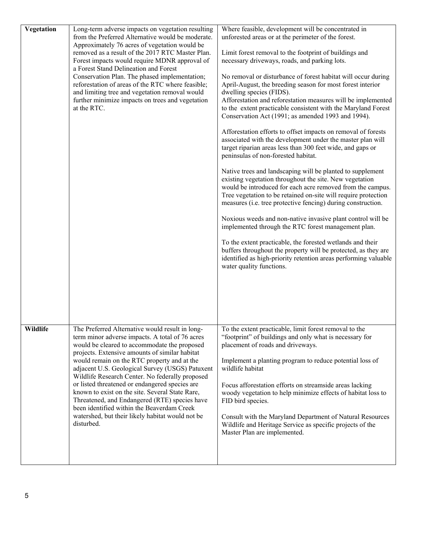| Vegetation | Long-term adverse impacts on vegetation resulting<br>from the Preferred Alternative would be moderate.<br>Approximately 76 acres of vegetation would be<br>removed as a result of the 2017 RTC Master Plan.<br>Forest impacts would require MDNR approval of<br>a Forest Stand Delineation and Forest<br>Conservation Plan. The phased implementation;<br>reforestation of areas of the RTC where feasible;<br>and limiting tree and vegetation removal would<br>further minimize impacts on trees and vegetation<br>at the RTC.                                                                                                | Where feasible, development will be concentrated in<br>unforested areas or at the perimeter of the forest.<br>Limit forest removal to the footprint of buildings and<br>necessary driveways, roads, and parking lots.<br>No removal or disturbance of forest habitat will occur during<br>April-August, the breeding season for most forest interior<br>dwelling species (FIDS).<br>Afforestation and reforestation measures will be implemented<br>to the extent practicable consistent with the Maryland Forest<br>Conservation Act (1991; as amended 1993 and 1994).<br>Afforestation efforts to offset impacts on removal of forests<br>associated with the development under the master plan will<br>target riparian areas less than 300 feet wide, and gaps or<br>peninsulas of non-forested habitat.<br>Native trees and landscaping will be planted to supplement<br>existing vegetation throughout the site. New vegetation<br>would be introduced for each acre removed from the campus.<br>Tree vegetation to be retained on-site will require protection<br>measures (i.e. tree protective fencing) during construction.<br>Noxious weeds and non-native invasive plant control will be<br>implemented through the RTC forest management plan.<br>To the extent practicable, the forested wetlands and their<br>buffers throughout the property will be protected, as they are<br>identified as high-priority retention areas performing valuable<br>water quality functions. |
|------------|---------------------------------------------------------------------------------------------------------------------------------------------------------------------------------------------------------------------------------------------------------------------------------------------------------------------------------------------------------------------------------------------------------------------------------------------------------------------------------------------------------------------------------------------------------------------------------------------------------------------------------|-------------------------------------------------------------------------------------------------------------------------------------------------------------------------------------------------------------------------------------------------------------------------------------------------------------------------------------------------------------------------------------------------------------------------------------------------------------------------------------------------------------------------------------------------------------------------------------------------------------------------------------------------------------------------------------------------------------------------------------------------------------------------------------------------------------------------------------------------------------------------------------------------------------------------------------------------------------------------------------------------------------------------------------------------------------------------------------------------------------------------------------------------------------------------------------------------------------------------------------------------------------------------------------------------------------------------------------------------------------------------------------------------------------------------------------------------------------------------------------------|
| Wildlife   | The Preferred Alternative would result in long-<br>term minor adverse impacts. A total of 76 acres<br>would be cleared to accommodate the proposed<br>projects. Extensive amounts of similar habitat<br>would remain on the RTC property and at the<br>adjacent U.S. Geological Survey (USGS) Patuxent<br>Wildlife Research Center. No federally proposed<br>or listed threatened or endangered species are<br>known to exist on the site. Several State Rare,<br>Threatened, and Endangered (RTE) species have<br>been identified within the Beaverdam Creek<br>watershed, but their likely habitat would not be<br>disturbed. | To the extent practicable, limit forest removal to the<br>"footprint" of buildings and only what is necessary for<br>placement of roads and driveways.<br>Implement a planting program to reduce potential loss of<br>wildlife habitat<br>Focus afforestation efforts on streamside areas lacking<br>woody vegetation to help minimize effects of habitat loss to<br>FID bird species.<br>Consult with the Maryland Department of Natural Resources<br>Wildlife and Heritage Service as specific projects of the<br>Master Plan are implemented.                                                                                                                                                                                                                                                                                                                                                                                                                                                                                                                                                                                                                                                                                                                                                                                                                                                                                                                                          |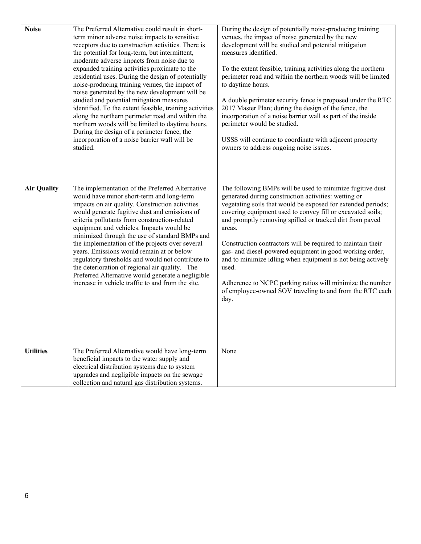| <b>Noise</b>       | The Preferred Alternative could result in short-<br>term minor adverse noise impacts to sensitive<br>receptors due to construction activities. There is<br>the potential for long-term, but intermittent,<br>moderate adverse impacts from noise due to<br>expanded training activities proximate to the<br>residential uses. During the design of potentially<br>noise-producing training venues, the impact of<br>noise generated by the new development will be<br>studied and potential mitigation measures<br>identified. To the extent feasible, training activities<br>along the northern perimeter road and within the<br>northern woods will be limited to daytime hours.<br>During the design of a perimeter fence, the<br>incorporation of a noise barrier wall will be<br>studied. | During the design of potentially noise-producing training<br>venues, the impact of noise generated by the new<br>development will be studied and potential mitigation<br>measures identified.<br>To the extent feasible, training activities along the northern<br>perimeter road and within the northern woods will be limited<br>to daytime hours.<br>A double perimeter security fence is proposed under the RTC<br>2017 Master Plan; during the design of the fence, the<br>incorporation of a noise barrier wall as part of the inside<br>perimeter would be studied.<br>USSS will continue to coordinate with adjacent property<br>owners to address ongoing noise issues. |
|--------------------|------------------------------------------------------------------------------------------------------------------------------------------------------------------------------------------------------------------------------------------------------------------------------------------------------------------------------------------------------------------------------------------------------------------------------------------------------------------------------------------------------------------------------------------------------------------------------------------------------------------------------------------------------------------------------------------------------------------------------------------------------------------------------------------------|----------------------------------------------------------------------------------------------------------------------------------------------------------------------------------------------------------------------------------------------------------------------------------------------------------------------------------------------------------------------------------------------------------------------------------------------------------------------------------------------------------------------------------------------------------------------------------------------------------------------------------------------------------------------------------|
| <b>Air Quality</b> | The implementation of the Preferred Alternative<br>would have minor short-term and long-term<br>impacts on air quality. Construction activities<br>would generate fugitive dust and emissions of<br>criteria pollutants from construction-related<br>equipment and vehicles. Impacts would be<br>minimized through the use of standard BMPs and<br>the implementation of the projects over several<br>years. Emissions would remain at or below<br>regulatory thresholds and would not contribute to<br>the deterioration of regional air quality. The<br>Preferred Alternative would generate a negligible<br>increase in vehicle traffic to and from the site.                                                                                                                               | The following BMPs will be used to minimize fugitive dust<br>generated during construction activities: wetting or<br>vegetating soils that would be exposed for extended periods;<br>covering equipment used to convey fill or excavated soils;<br>and promptly removing spilled or tracked dirt from paved<br>areas.<br>Construction contractors will be required to maintain their<br>gas- and diesel-powered equipment in good working order,<br>and to minimize idling when equipment is not being actively<br>used.<br>Adherence to NCPC parking ratios will minimize the number<br>of employee-owned SOV traveling to and from the RTC each<br>day.                        |
| <b>Utilities</b>   | The Preferred Alternative would have long-term<br>beneficial impacts to the water supply and<br>electrical distribution systems due to system<br>upgrades and negligible impacts on the sewage<br>collection and natural gas distribution systems.                                                                                                                                                                                                                                                                                                                                                                                                                                                                                                                                             | None                                                                                                                                                                                                                                                                                                                                                                                                                                                                                                                                                                                                                                                                             |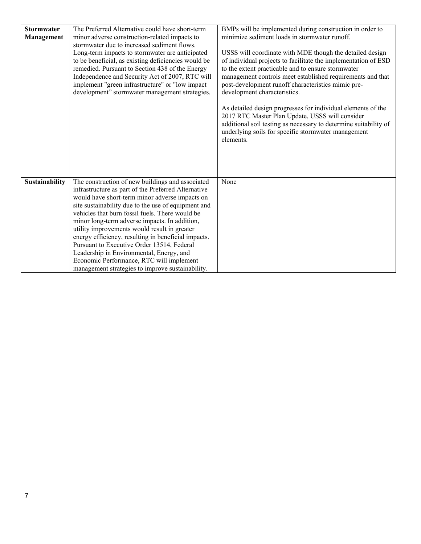| <b>Stormwater</b><br><b>Management</b> | The Preferred Alternative could have short-term<br>minor adverse construction-related impacts to<br>stormwater due to increased sediment flows.<br>Long-term impacts to stormwater are anticipated<br>to be beneficial, as existing deficiencies would be<br>remedied. Pursuant to Section 438 of the Energy<br>Independence and Security Act of 2007, RTC will<br>implement "green infrastructure" or "low impact<br>development" stormwater management strategies.                                                                                                                                                  | BMPs will be implemented during construction in order to<br>minimize sediment loads in stormwater runoff.<br>USSS will coordinate with MDE though the detailed design<br>of individual projects to facilitate the implementation of ESD<br>to the extent practicable and to ensure stormwater<br>management controls meet established requirements and that<br>post-development runoff characteristics mimic pre-<br>development characteristics.<br>As detailed design progresses for individual elements of the<br>2017 RTC Master Plan Update, USSS will consider<br>additional soil testing as necessary to determine suitability of<br>underlying soils for specific stormwater management<br>elements. |
|----------------------------------------|-----------------------------------------------------------------------------------------------------------------------------------------------------------------------------------------------------------------------------------------------------------------------------------------------------------------------------------------------------------------------------------------------------------------------------------------------------------------------------------------------------------------------------------------------------------------------------------------------------------------------|--------------------------------------------------------------------------------------------------------------------------------------------------------------------------------------------------------------------------------------------------------------------------------------------------------------------------------------------------------------------------------------------------------------------------------------------------------------------------------------------------------------------------------------------------------------------------------------------------------------------------------------------------------------------------------------------------------------|
| Sustainability                         | The construction of new buildings and associated<br>infrastructure as part of the Preferred Alternative<br>would have short-term minor adverse impacts on<br>site sustainability due to the use of equipment and<br>vehicles that burn fossil fuels. There would be<br>minor long-term adverse impacts. In addition,<br>utility improvements would result in greater<br>energy efficiency, resulting in beneficial impacts.<br>Pursuant to Executive Order 13514, Federal<br>Leadership in Environmental, Energy, and<br>Economic Performance, RTC will implement<br>management strategies to improve sustainability. | None                                                                                                                                                                                                                                                                                                                                                                                                                                                                                                                                                                                                                                                                                                         |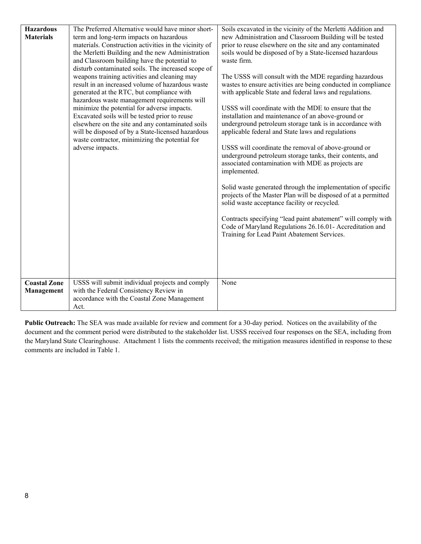| <b>Hazardous</b>    | The Preferred Alternative would have minor short-                                                 | Soils excavated in the vicinity of the Merletti Addition and                                                            |
|---------------------|---------------------------------------------------------------------------------------------------|-------------------------------------------------------------------------------------------------------------------------|
| <b>Materials</b>    | term and long-term impacts on hazardous<br>materials. Construction activities in the vicinity of  | new Administration and Classroom Building will be tested<br>prior to reuse elsewhere on the site and any contaminated   |
|                     | the Merletti Building and the new Administration                                                  | soils would be disposed of by a State-licensed hazardous                                                                |
|                     | and Classroom building have the potential to                                                      | waste firm.                                                                                                             |
|                     | disturb contaminated soils. The increased scope of                                                |                                                                                                                         |
|                     | weapons training activities and cleaning may<br>result in an increased volume of hazardous waste  | The USSS will consult with the MDE regarding hazardous<br>wastes to ensure activities are being conducted in compliance |
|                     | generated at the RTC, but compliance with                                                         | with applicable State and federal laws and regulations.                                                                 |
|                     | hazardous waste management requirements will                                                      |                                                                                                                         |
|                     | minimize the potential for adverse impacts.                                                       | USSS will coordinate with the MDE to ensure that the                                                                    |
|                     | Excavated soils will be tested prior to reuse<br>elsewhere on the site and any contaminated soils | installation and maintenance of an above-ground or<br>underground petroleum storage tank is in accordance with          |
|                     | will be disposed of by a State-licensed hazardous                                                 | applicable federal and State laws and regulations                                                                       |
|                     | waste contractor, minimizing the potential for                                                    |                                                                                                                         |
|                     | adverse impacts.                                                                                  | USSS will coordinate the removal of above-ground or                                                                     |
|                     |                                                                                                   | underground petroleum storage tanks, their contents, and<br>associated contamination with MDE as projects are           |
|                     |                                                                                                   | implemented.                                                                                                            |
|                     |                                                                                                   |                                                                                                                         |
|                     |                                                                                                   | Solid waste generated through the implementation of specific                                                            |
|                     |                                                                                                   | projects of the Master Plan will be disposed of at a permitted<br>solid waste acceptance facility or recycled.          |
|                     |                                                                                                   |                                                                                                                         |
|                     |                                                                                                   | Contracts specifying "lead paint abatement" will comply with                                                            |
|                     |                                                                                                   | Code of Maryland Regulations 26.16.01- Accreditation and                                                                |
|                     |                                                                                                   | Training for Lead Paint Abatement Services.                                                                             |
|                     |                                                                                                   |                                                                                                                         |
|                     |                                                                                                   |                                                                                                                         |
|                     |                                                                                                   |                                                                                                                         |
| <b>Coastal Zone</b> | USSS will submit individual projects and comply                                                   | None                                                                                                                    |
| Management          | with the Federal Consistency Review in                                                            |                                                                                                                         |
|                     | accordance with the Coastal Zone Management                                                       |                                                                                                                         |
|                     | Act.                                                                                              |                                                                                                                         |

**Public Outreach:** The SEA was made available for review and comment for a 30-day period. Notices on the availability of the document and the comment period were distributed to the stakeholder list. USSS received four responses on the SEA, including from the Maryland State Clearinghouse. Attachment 1 lists the comments received; the mitigation measures identified in response to these comments are included i[n Table 1.](#page-0-0)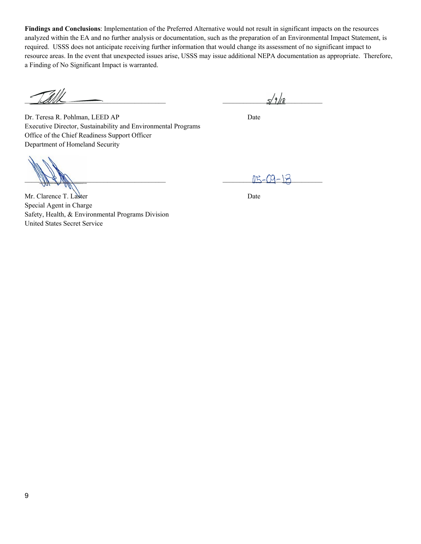**Findings and Conclusions**: Implementation of the Preferred Alternative would not result in significant impacts on the resources analyzed within the EA and no further analysis or documentation, such as the preparation of an Environmental Impact Statement, is required. USSS does not anticipate receiving further information that would change its assessment of no significant impact to resource areas. In the event that unexpected issues arise, USSS may issue additional NEPA documentation as appropriate. Therefore, a Finding of No Significant Impact is warranted.

 $\leq 100$ 

Dr. Teresa R. Pohlman, LEED AP Date Executive Director, Sustainability and Environmental Programs Office of the Chief Readiness Support Officer Department of Homeland Security

 $\frac{115 - 09 - 125}{115 - 09 - 125}$ 

Mr. Clarence T. Laster Date Special Agent in Charge Safety, Health, & Environmental Programs Division United States Secret Service